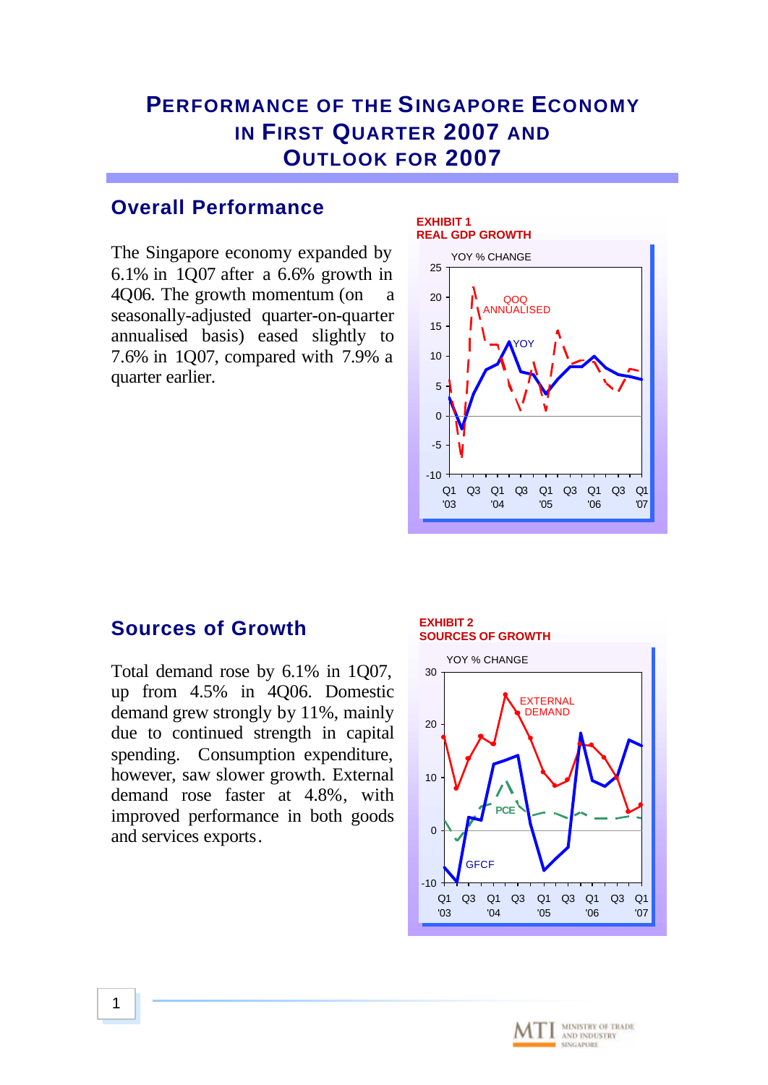# **PERFORMANCE OF THE SINGAPORE ECONOMY IN FIRST QUARTER 2007 AND OUTLOOK FOR 2007**

## **Overall Performance**

The Singapore economy expanded by 6.1% in 1Q07 after a 6.6% growth in 4Q06. The growth momentum (on a seasonally-adjusted quarter-on-quarter annualised basis) eased slightly to 7.6% in 1Q07, compared with 7.9% a quarter earlier.

#### **EXHIBIT 1 REAL GDP GROWTH**



## **Sources of Growth**

Total demand rose by 6.1% in 1Q07, up from 4.5% in 4Q06. Domestic demand grew strongly by 11%, mainly due to continued strength in capital spending. Consumption expenditure, however, saw slower growth. External demand rose faster at 4.8%, with improved performance in both goods and services exports.

#### **EXHIBIT 2 SOURCES OF GROWTH**



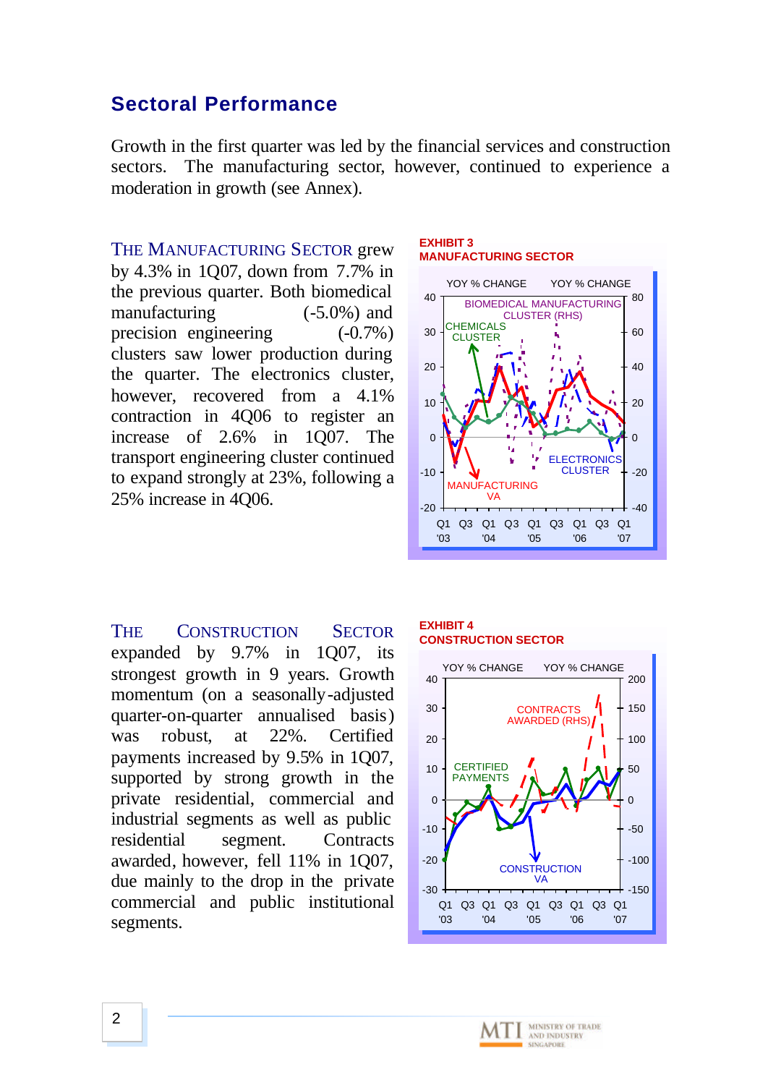## **Sectoral Performance**

Growth in the first quarter was led by the financial services and construction sectors. The manufacturing sector, however, continued to experience a moderation in growth (see Annex).

THE MANUFACTURING SECTOR grew by 4.3% in 1Q07, down from 7.7% in the previous quarter. Both biomedical manufacturing (-5.0%) and precision engineering (-0.7%) clusters saw lower production during the quarter. The electronics cluster, however, recovered from a 4.1% contraction in 4Q06 to register an increase of 2.6% in 1Q07. The transport engineering cluster continued to expand strongly at 23%, following a 25% increase in 4Q06.

#### **EXHIBIT 3 MANUFACTURING SECTOR**



THE CONSTRUCTION SECTOR expanded by 9.7% in 1Q07, its strongest growth in 9 years. Growth momentum (on a seasonally-adjusted quarter-on-quarter annualised basis) was robust, at 22%. Certified payments increased by 9.5% in 1Q07, supported by strong growth in the private residential, commercial and industrial segments as well as public residential segment. Contracts awarded, however, fell 11% in 1Q07, due mainly to the drop in the private commercial and public institutional segments.

#### **EXHIBIT 4 CONSTRUCTION SECTOR**

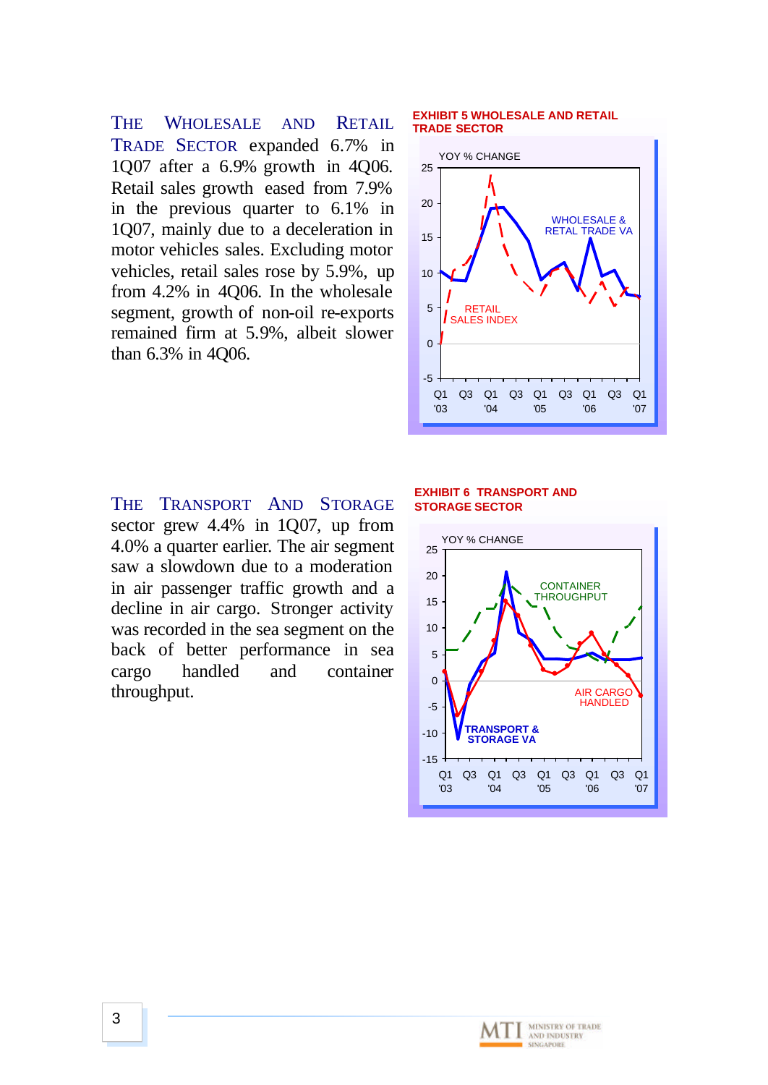THE WHOLESALE AND RETAIL TRADE SECTOR expanded 6.7% in 1Q07 after a 6.9% growth in 4Q06. Retail sales growth eased from 7.9% in the previous quarter to 6.1% in 1Q07, mainly due to a deceleration in motor vehicles sales. Excluding motor vehicles, retail sales rose by 5.9%, up from 4.2% in 4Q06. In the wholesale segment, growth of non-oil re-exports remained firm at 5.9%, albeit slower than 6.3% in 4Q06.

THE TRANSPORT AND STORAGE sector grew 4.4% in 1Q07, up from 4.0% a quarter earlier. The air segment saw a slowdown due to a moderation in air passenger traffic growth and a decline in air cargo. Stronger activity was recorded in the sea segment on the back of better performance in sea cargo handled and container throughput.

#### **EXHIBIT 5 WHOLESALE AND RETAIL TRADE SECTOR**



### **EXHIBIT 6 TRANSPORT AND STORAGE SECTOR**



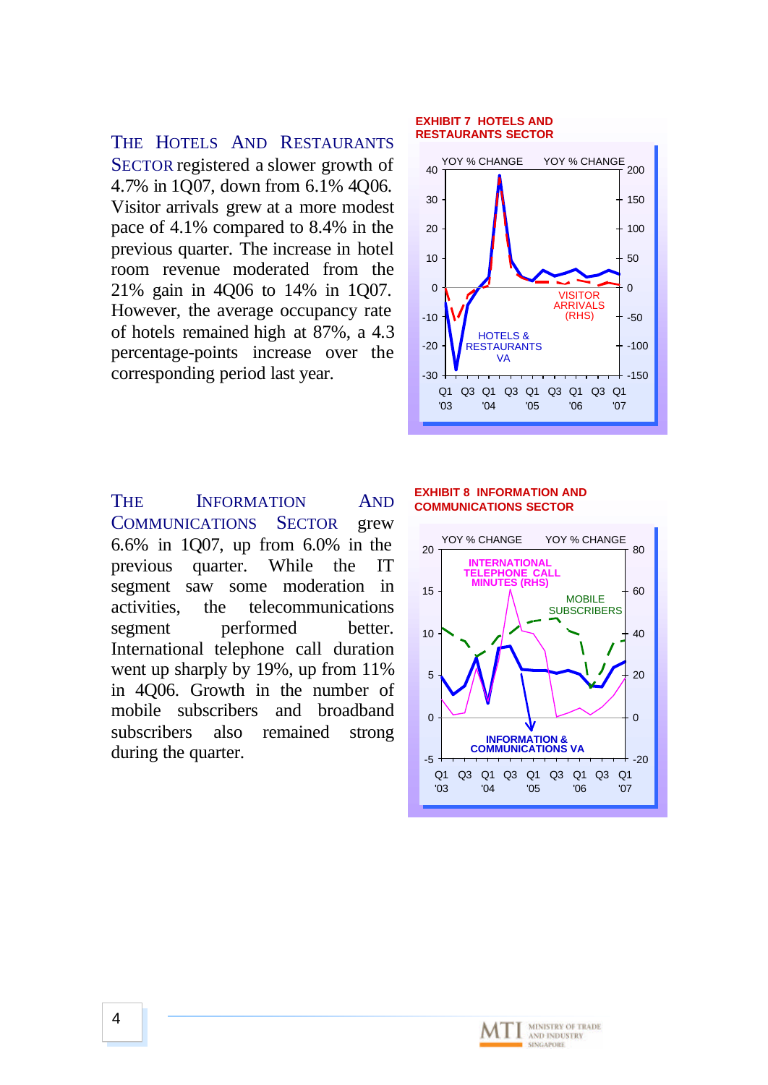THE HOTELS AND RESTAURANTS SECTOR registered a slower growth of 4.7% in 1Q07, down from 6.1% 4Q06. Visitor arrivals grew at a more modest pace of 4.1% compared to 8.4% in the previous quarter. The increase in hotel room revenue moderated from the 21% gain in 4Q06 to 14% in 1Q07. However, the average occupancy rate of hotels remained high at 87%, a 4.3 percentage-points increase over the corresponding period last year.

#### **EXHIBIT 7 HOTELS AND RESTAURANTS SECTOR**



THE INFORMATION AND COMMUNICATIONS SECTOR grew 6.6% in 1Q07, up from 6.0% in the previous quarter. While the IT segment saw some moderation in activities, the telecommunications segment performed better. International telephone call duration went up sharply by 19%, up from 11% in 4Q06. Growth in the number of mobile subscribers and broadband subscribers also remained strong during the quarter.

#### **EXHIBIT 8 INFORMATION AND COMMUNICATIONS SECTOR**

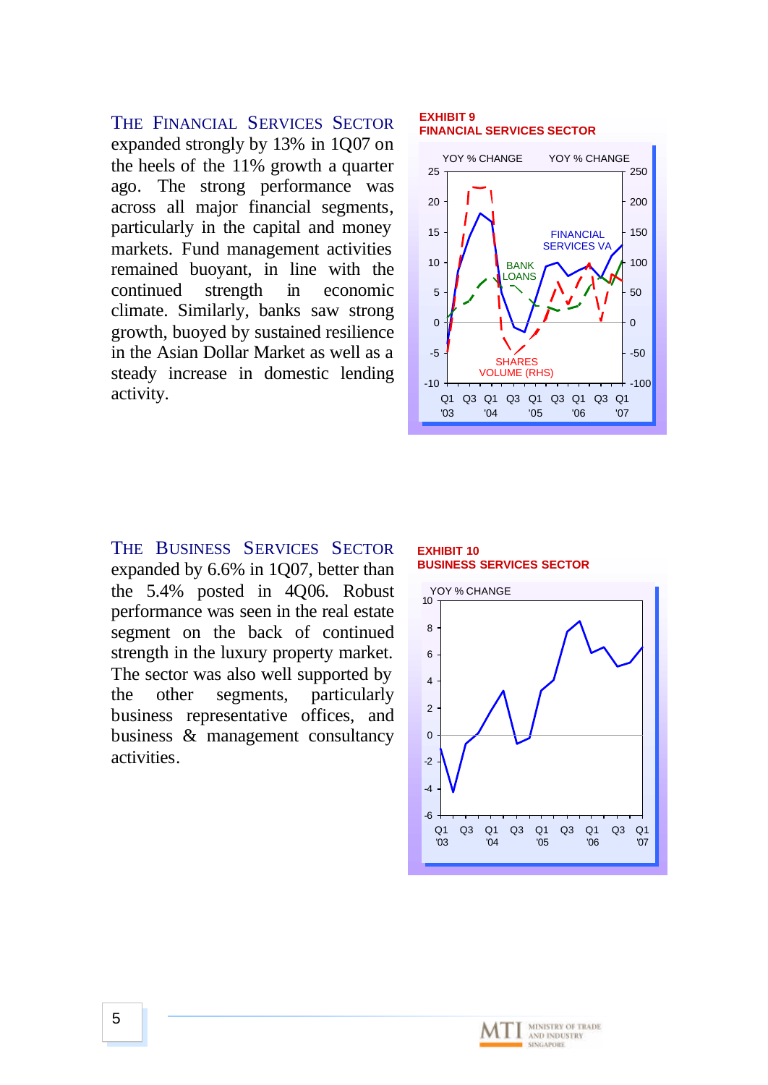THE FINANCIAL SERVICES SECTOR expanded strongly by 13% in 1Q07 on the heels of the 11% growth a quarter ago. The strong performance was across all major financial segments, particularly in the capital and money markets. Fund management activities remained buoyant, in line with the continued strength in economic climate. Similarly, banks saw strong growth, buoyed by sustained resilience in the Asian Dollar Market as well as a steady increase in domestic lending activity.

#### **EXHIBIT 9 FINANCIAL SERVICES SECTOR**



THE BUSINESS SERVICES SECTOR expanded by 6.6% in 1Q07, better than the 5.4% posted in 4Q06. Robust performance was seen in the real estate segment on the back of continued strength in the luxury property market. The sector was also well supported by the other segments, particularly business representative offices, and business & management consultancy activities.

**EXHIBIT 10 BUSINESS SERVICES SECTOR**

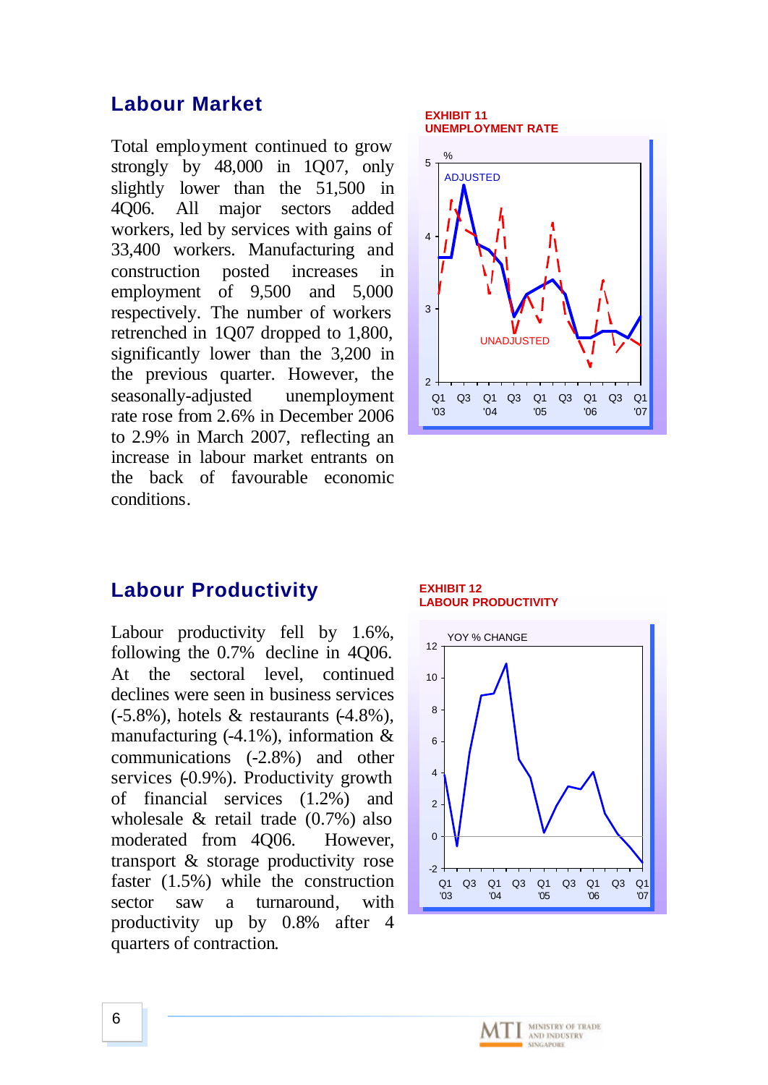### **Labour Market**

Total employment continued to grow strongly by 48,000 in 1Q07, only slightly lower than the 51,500 in 4Q06. All major sectors added workers, led by services with gains of 33,400 workers. Manufacturing and construction posted increases in employment of 9,500 and 5,000 respectively. The number of workers retrenched in 1Q07 dropped to 1,800, significantly lower than the 3,200 in the previous quarter. However, the seasonally-adjusted unemployment rate rose from 2.6% in December 2006 to 2.9% in March 2007, reflecting an increase in labour market entrants on the back of favourable economic conditions.

### **Labour Productivity**

Labour productivity fell by 1.6%, following the 0.7% decline in 4Q06. At the sectoral level, continued declines were seen in business services  $(-5.8\%)$ , hotels & restaurants  $(-4.8\%)$ . manufacturing  $(-4.1\%)$ , information & communications (-2.8%) and other services  $(-0.9\%)$ . Productivity growth of financial services (1.2%) and wholesale & retail trade (0.7%) also moderated from 4Q06. However, transport & storage productivity rose faster (1.5%) while the construction sector saw a turnaround, with productivity up by 0.8% after 4 quarters of contraction.

#### **EXHIBIT 11 UNEMPLOYMENT RATE**



**EXHIBIT 12 LABOUR PRODUCTIVITY**



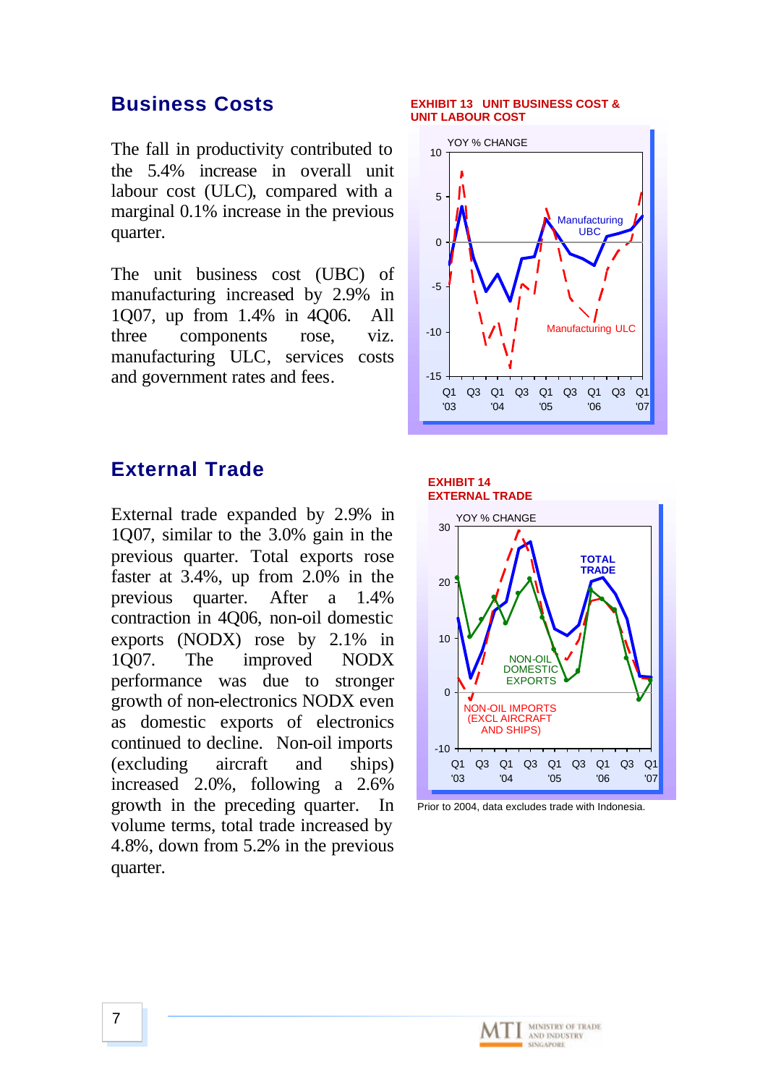### **Business Costs**

The fall in productivity contributed to the 5.4% increase in overall unit labour cost (ULC), compared with a marginal 0.1% increase in the previous quarter.

The unit business cost (UBC) of manufacturing increased by 2.9% in 1Q07, up from 1.4% in 4Q06. All three components rose, viz. manufacturing ULC, services costs and government rates and fees.

### **External Trade**

External trade expanded by 2.9% in 1Q07, similar to the 3.0% gain in the previous quarter. Total exports rose faster at 3.4%, up from 2.0% in the previous quarter. After a 1.4% contraction in 4Q06, non-oil domestic exports (NODX) rose by 2.1% in 1Q07. The improved NODX performance was due to stronger growth of non-electronics NODX even as domestic exports of electronics continued to decline. Non-oil imports (excluding aircraft and ships) increased 2.0%, following a 2.6% growth in the preceding quarter. In volume terms, total trade increased by 4.8%, down from 5.2% in the previous quarter.

#### **EXHIBIT 13 UNIT BUSINESS COST & UNIT LABOUR COST**







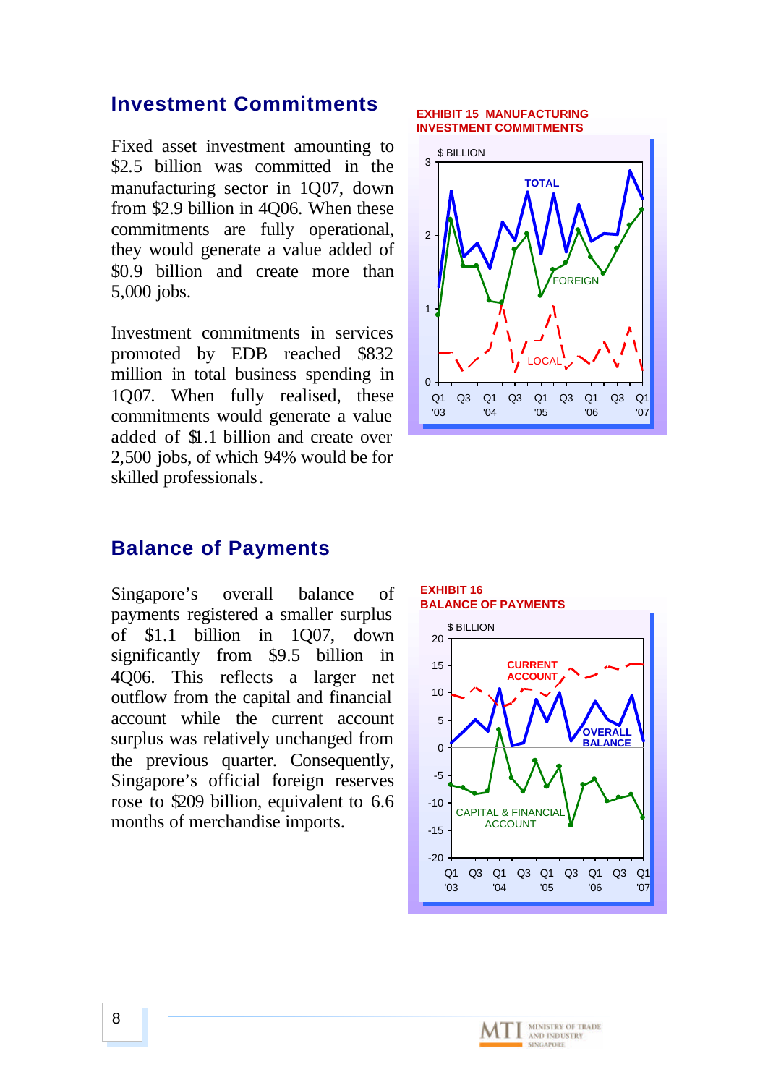### **Investment Commitments**

Fixed asset investment amounting to \$2.5 billion was committed in the manufacturing sector in 1Q07, down from \$2.9 billion in 4Q06. When these commitments are fully operational, they would generate a value added of \$0.9 billion and create more than 5,000 jobs.

Investment commitments in services promoted by EDB reached \$832 million in total business spending in 1Q07. When fully realised, these commitments would generate a value added of \$1.1 billion and create over 2,500 jobs, of which 94% would be for skilled professionals.

#### **EXHIBIT 15 MANUFACTURING INVESTMENT COMMITMENTS**



### **Balance of Payments**

Singapore's overall balance of payments registered a smaller surplus of \$1.1 billion in 1Q07, down significantly from \$9.5 billion in 4Q06. This reflects a larger net outflow from the capital and financial account while the current account surplus was relatively unchanged from the previous quarter. Consequently, Singapore's official foreign reserves rose to \$209 billion, equivalent to 6.6 months of merchandise imports.

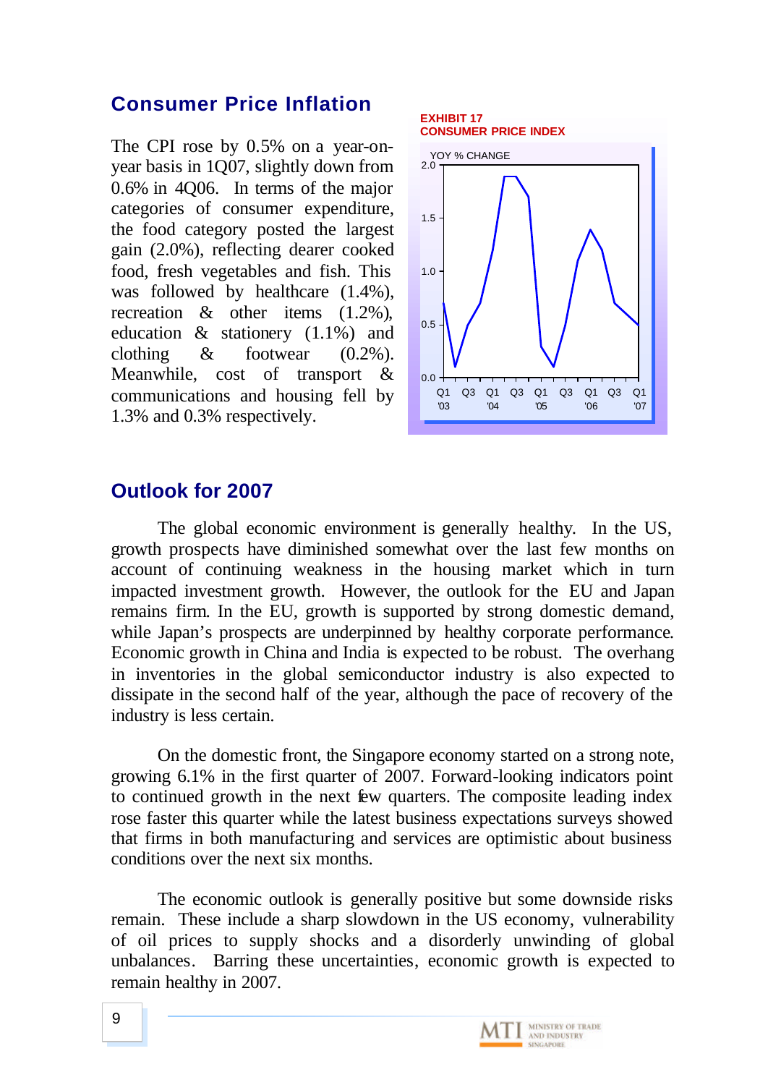## **Consumer Price Inflation**

The CPI rose by 0.5% on a year-onyear basis in 1Q07, slightly down from 0.6% in 4Q06. In terms of the major categories of consumer expenditure, the food category posted the largest gain (2.0%), reflecting dearer cooked food, fresh vegetables and fish. This was followed by healthcare (1.4%), recreation & other items (1.2%), education & stationery (1.1%) and clothing  $\&$  footwear  $(0.2\%)$ . Meanwhile, cost of transport & communications and housing fell by 1.3% and 0.3% respectively.



## **Outlook for 2007**

The global economic environment is generally healthy. In the US, growth prospects have diminished somewhat over the last few months on account of continuing weakness in the housing market which in turn impacted investment growth. However, the outlook for the EU and Japan remains firm. In the EU, growth is supported by strong domestic demand, while Japan's prospects are underpinned by healthy corporate performance. Economic growth in China and India is expected to be robust. The overhang in inventories in the global semiconductor industry is also expected to dissipate in the second half of the year, although the pace of recovery of the industry is less certain.

On the domestic front, the Singapore economy started on a strong note, growing 6.1% in the first quarter of 2007. Forward-looking indicators point to continued growth in the next few quarters. The composite leading index rose faster this quarter while the latest business expectations surveys showed that firms in both manufacturing and services are optimistic about business conditions over the next six months.

The economic outlook is generally positive but some downside risks remain. These include a sharp slowdown in the US economy, vulnerability of oil prices to supply shocks and a disorderly unwinding of global unbalances. Barring these uncertainties, economic growth is expected to remain healthy in 2007.

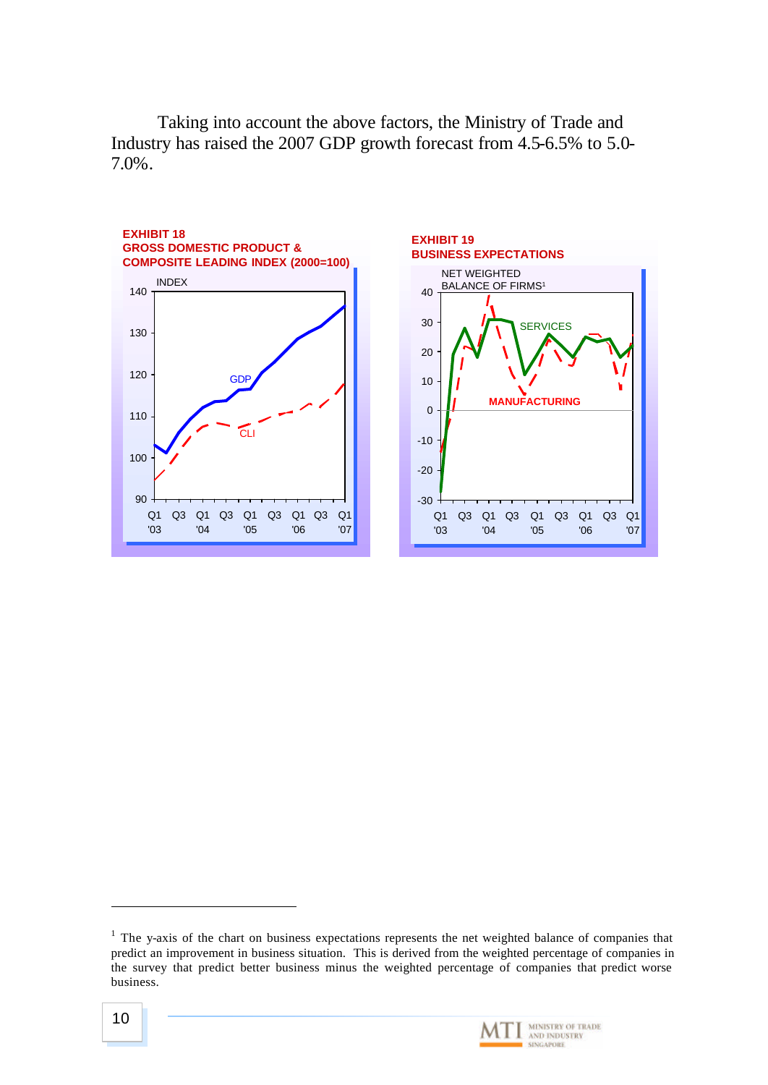Taking into account the above factors, the Ministry of Trade and Industry has raised the 2007 GDP growth forecast from 4.5-6.5% to 5.0- 7.0%.



 $<sup>1</sup>$  The y-axis of the chart on business expectations represents the net weighted balance of companies that</sup> predict an improvement in business situation. This is derived from the weighted percentage of companies in the survey that predict better business minus the weighted percentage of companies that predict worse business.



l